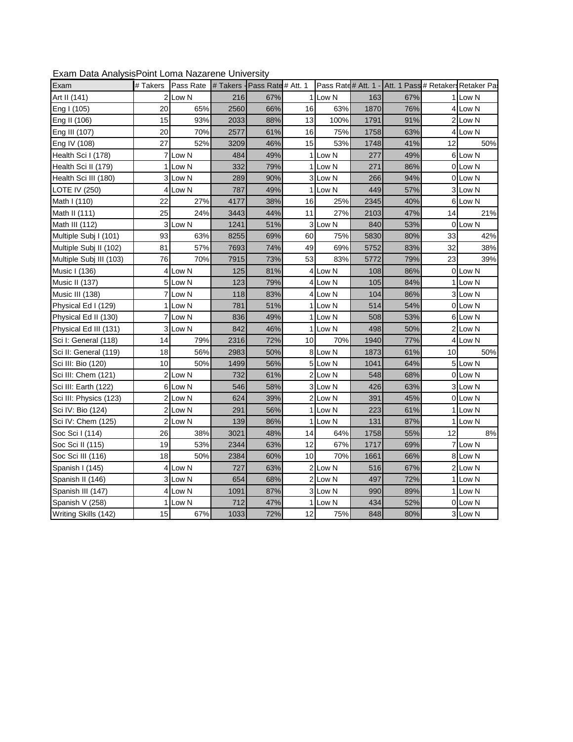| LAGHT Data / Maryolor Olitt Lorria Mazarcho Orlivorolty |                 |                    |      |                    |    |                     |      |     |    |                                   |
|---------------------------------------------------------|-----------------|--------------------|------|--------------------|----|---------------------|------|-----|----|-----------------------------------|
| Exam                                                    | # Takers        | Pass Rate # Takers |      | Pass Rate # Att. 1 |    | Pass Rate# Att. 1 - |      |     |    | Att. 1 Pass # Retakers Retaker Pa |
| Art II (141)                                            | 2               | Low N              | 216  | 67%                | 11 | Low N               | 163  | 67% |    | Low N                             |
| Eng I (105)                                             | 20              | 65%                | 2560 | 66%                | 16 | 63%                 | 1870 | 76% |    | 4 Low N                           |
| Eng II (106)                                            | 15              | 93%                | 2033 | 88%                | 13 | 100%                | 1791 | 91% |    | 2 Low N                           |
| Eng III (107)                                           | 20              | 70%                | 2577 | 61%                | 16 | 75%                 | 1758 | 63% |    | 4 Low N                           |
| Eng IV (108)                                            | 27              | 52%                | 3209 | 46%                | 15 | 53%                 | 1748 | 41% | 12 | 50%                               |
| Health Sci I (178)                                      | 7               | Low N              | 484  | 49%                |    | 1 Low N             | 277  | 49% |    | 6 Low N                           |
| Health Sci II (179)                                     | 1               | Low N              | 332  | 79%                |    | 1 Low N             | 271  | 86% |    | 0 Low N                           |
| Health Sci III (180)                                    |                 | 3 Low N            | 289  | 90%                |    | 3 Low N             | 266  | 94% |    | 0 Low N                           |
| LOTE IV (250)                                           | 4               | Low N              | 787  | 49%                |    | 1 Low N             | 449  | 57% |    | 3 Low N                           |
| Math I (110)                                            | 22              | 27%                | 4177 | 38%                | 16 | 25%                 | 2345 | 40% |    | 6 Low N                           |
| Math II (111)                                           | 25              | 24%                | 3443 | 44%                | 11 | 27%                 | 2103 | 47% | 14 | 21%                               |
| Math III (112)                                          |                 | 3 Low N            | 1241 | 51%                |    | 3 Low N             | 840  | 53% |    | 0 Low N                           |
| Multiple Subj I (101)                                   | 93              | 63%                | 8255 | 69%                | 60 | 75%                 | 5830 | 80% | 33 | 42%                               |
| Multiple Subj II (102)                                  | 81              | 57%                | 7693 | 74%                | 49 | 69%                 | 5752 | 83% | 32 | 38%                               |
| Multiple Subj III (103)                                 | 76              | 70%                | 7915 | 73%                | 53 | 83%                 | 5772 | 79% | 23 | 39%                               |
| Music I (136)                                           |                 | 4 Low N            | 125  | 81%                |    | 4 Low N             | 108  | 86% |    | 0 Low N                           |
| Music II (137)                                          |                 | 5 Low N            | 123  | 79%                |    | 4 Low N             | 105  | 84% |    | 1 Low N                           |
| Music III (138)                                         |                 | 7 Low N            | 118  | 83%                |    | 4 Low N             | 104  | 86% |    | 3 Low N                           |
| Physical Ed I (129)                                     | 1               | Low N              | 781  | 51%                |    | 1 Low N             | 514  | 54% |    | 0 Low N                           |
| Physical Ed II (130)                                    | 7               | Low N              | 836  | 49%                |    | 1 Low N             | 508  | 53% |    | 6 Low N                           |
| Physical Ed III (131)                                   |                 | 3 Low N            | 842  | 46%                |    | 1 Low N             | 498  | 50% |    | 2 Low N                           |
| Sci I: General (118)                                    | 14              | 79%                | 2316 | 72%                | 10 | 70%                 | 1940 | 77% |    | 4 Low N                           |
| Sci II: General (119)                                   | 18              | 56%                | 2983 | 50%                |    | 8 Low N             | 1873 | 61% | 10 | 50%                               |
| Sci III: Bio (120)                                      | 10              | 50%                | 1499 | 56%                |    | 5 Low N             | 1041 | 64% |    | 5 Low N                           |
| Sci III: Chem (121)                                     |                 | 2 Low N            | 732  | 61%                |    | 2Low N              | 548  | 68% |    | 0 Low N                           |
| Sci III: Earth (122)                                    |                 | 6 Low N            | 546  | 58%                |    | 3 Low N             | 426  | 63% |    | 3 Low N                           |
| Sci III: Physics (123)                                  |                 | 2 Low N            | 624  | 39%                |    | 2 Low N             | 391  | 45% |    | 0 Low N                           |
| Sci IV: Bio (124)                                       | 2               | Low N              | 291  | 56%                |    | 1 Low N             | 223  | 61% |    | 1 Low N                           |
| Sci IV: Chem (125)                                      | 2               | Low N              | 139  | 86%                | 11 | Low N               | 131  | 87% |    | Low N                             |
| Soc Sci I (114)                                         | 26              | 38%                | 3021 | 48%                | 14 | 64%                 | 1758 | 55% | 12 | 8%                                |
| Soc Sci II (115)                                        | 19              | 53%                | 2344 | 63%                | 12 | 67%                 | 1717 | 69% |    | 7 Low N                           |
| Soc Sci III (116)                                       | 18              | 50%                | 2384 | 60%                | 10 | 70%                 | 1661 | 66% |    | 8 Low N                           |
| Spanish I (145)                                         | 4               | Low N              | 727  | 63%                |    | 2 Low N             | 516  | 67% |    | 2 Low N                           |
| Spanish II (146)                                        | 3               | Low N              | 654  | 68%                |    | 2 Low N             | 497  | 72% |    | 1 Low N                           |
| Spanish III (147)                                       | 4               | Low N              | 1091 | 87%                |    | 3 Low N             | 990  | 89% |    | 1 Low N                           |
| Spanish V (258)                                         |                 | 1 Low N            | 712  | 47%                |    | 1 Low N             | 434  | 52% |    | 0 Low N                           |
| Writing Skills (142)                                    | 15 <sub>l</sub> | 67%                | 1033 | 72%                | 12 | 75%                 | 848  | 80% |    | 3 Low N                           |

Exam Data AnalysisPoint Loma Nazarene University